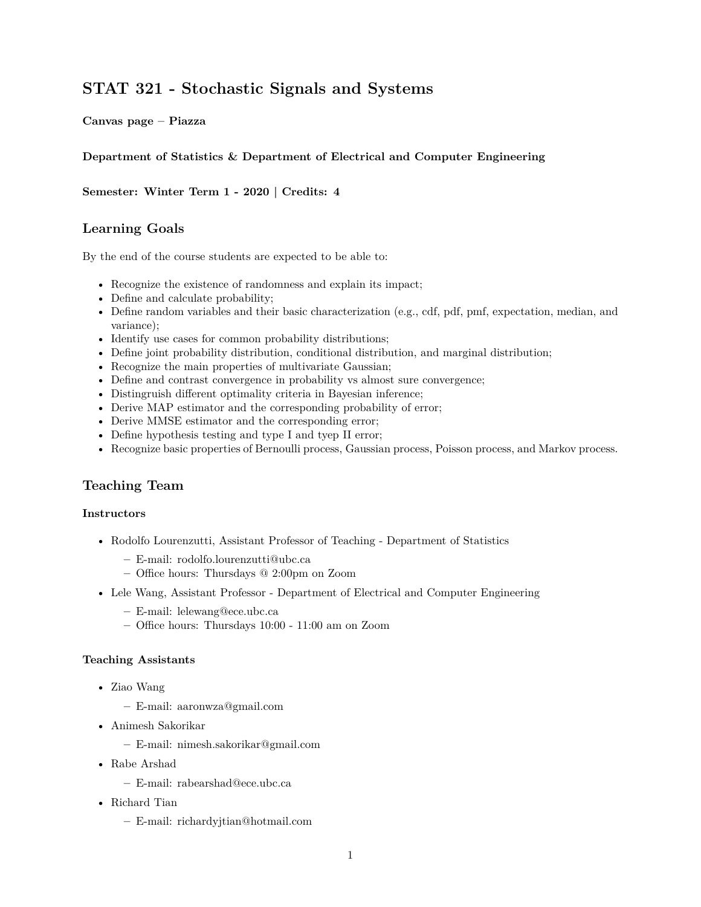# **[STAT 321 - Stochastic Signals and Systems](https://courses.students.ubc.ca/cs/courseschedule?pname=subjarea&tname=subj-course&dept=STAT&course=321)**

**[Canvas page](https://canvas.ubc.ca/courses/62836) – [Piazza](https://canvas.ubc.ca/courses/62836/external_tools/201?display=borderless)**

### **Department of Statistics & Department of Electrical and Computer Engineering**

**Semester: Winter Term 1 - 2020 | Credits: 4**

### **Learning Goals**

By the end of the course students are expected to be able to:

- Recognize the existence of randomness and explain its impact;
- Define and calculate probability;
- Define random variables and their basic characterization (e.g., cdf, pdf, pmf, expectation, median, and variance);
- Identify use cases for common probability distributions;
- Define joint probability distribution, conditional distribution, and marginal distribution;
- Recognize the main properties of multivariate Gaussian;
- Define and contrast convergence in probability vs almost sure convergence;
- Distingruish different optimality criteria in Bayesian inference;
- Derive MAP estimator and the corresponding probability of error;
- Derive MMSE estimator and the corresponding error;
- Define hypothesis testing and type I and tyep II error;
- Recognize basic properties of Bernoulli process, Gaussian process, Poisson process, and Markov process.

# **Teaching Team**

#### **Instructors**

- Rodolfo Lourenzutti, Assistant Professor of Teaching Department of Statistics
	- **–** E-mail: [rodolfo.lourenzutti@ubc.ca](mailto:rodolfo.lourenzutti@ubc.ca)
	- **–** Office hours: Thursdays @ 2:00pm on Zoom
- Lele Wang, Assistant Professor Department of Electrical and Computer Engineering
	- **–** E-mail: [lelewang@ece.ubc.ca](mailto:lelewang@ece.ubc.ca)
	- **–** Office hours: Thursdays 10:00 11:00 am on Zoom

#### **Teaching Assistants**

- Ziao Wang
	- **–** E-mail: [aaronwza@gmail.com](mailto:aaronwza@gmail.com)
- Animesh Sakorikar
	- **–** E-mail: [nimesh.sakorikar@gmail.com](mailto:nimesh.sakorikar@gmail.com)
- Rabe Arshad
	- **–** E-mail: [rabearshad@ece.ubc.ca](mailto:rabearshad@ece.ubc.ca)
- Richard Tian
	- **–** E-mail: [richardyjtian@hotmail.com](mailto:richardyjtian@hotmail.com)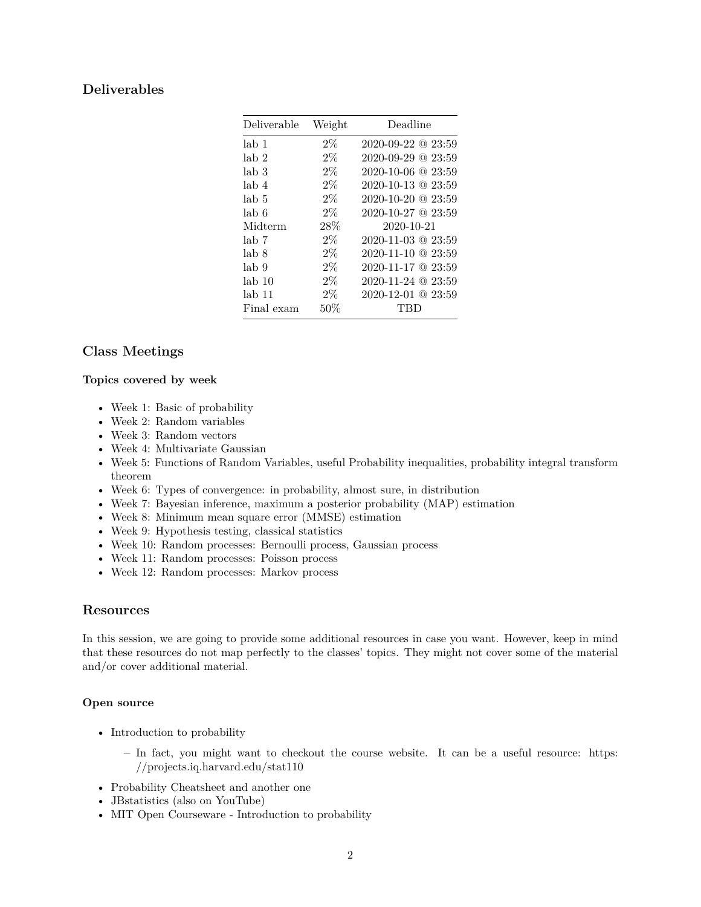# **Deliverables**

| Deliverable       | Weight | Deadline                     |
|-------------------|--------|------------------------------|
| lab <sub>1</sub>  | $2\%$  | $2020 - 09 - 22 \& 23:59$    |
| lab 2             | $2\%$  | $2020 - 09 - 29$ $@$ $23:59$ |
| lab <sub>3</sub>  | $2\%$  | $2020 - 10 - 06$ @ $23:59$   |
| lab 4             | $2\%$  | $2020 - 10 - 13$ $@$ $23:59$ |
| lab 5             | $2\%$  | $2020 - 10 - 20$ $@ 23:59$   |
| lab 6             | $2\%$  | $2020 - 10 - 27$ @ $23:59$   |
| Midterm           | 28\%   | 2020-10-21                   |
| lab 7             | $2\%$  | $2020 - 11 - 03$ $@$ $23:59$ |
| lab 8             | $2\%$  | $2020 - 11 - 10$ $@$ $23:59$ |
| lab 9             | $2\%$  | $2020 - 11 - 17$ @ $23:59$   |
| lab <sub>10</sub> | $2\%$  | 2020-11-24 @ 23:59           |
| lab 11            | $2\%$  | $2020 - 12 - 01$ @ $23:59$   |
| Final exam        | 50%    | TBD                          |

# **Class Meetings**

#### **Topics covered by week**

- Week 1: Basic of probability
- Week 2: Random variables
- Week 3: Random vectors
- Week 4: Multivariate Gaussian
- Week 5: Functions of Random Variables, useful Probability inequalities, probability integral transform theorem
- Week 6: Types of convergence: in probability, almost sure, in distribution
- Week 7: Bayesian inference, maximum a posterior probability (MAP) estimation
- Week 8: Minimum mean square error (MMSE) estimation
- Week 9: Hypothesis testing, classical statistics
- Week 10: Random processes: Bernoulli process, Gaussian process
- Week 11: Random processes: Poisson process
- Week 12: Random processes: Markov process

### **Resources**

In this session, we are going to provide some additional resources in case you want. However, keep in mind that these resources do not map perfectly to the classes' topics. They might not cover some of the material and/or cover additional material.

### **Open source**

- [Introduction to probability](https://drive.google.com/file/d/1VmkAAGOYCTORq1wxSQqy255qLJjTNvBI/view)
	- **–** In fact, you might want to checkout the course website. It can be a useful resource: [https:](https://projects.iq.harvard.edu/stat110) [//projects.iq.harvard.edu/stat110](https://projects.iq.harvard.edu/stat110)
- [Probability Cheatsheet](https://github.com/wzchen/probability_cheatsheet) and [another one](http://web.cs.elte.hu/~mesti/valszam/kepletek)
- [JBstatistics](http://www.jbstatistics.com/) (also on [YouTube\)](https://www.youtube.com/channel/UCiHi6xXLzi9FMr9B0zgoHqA)
- [MIT Open Courseware Introduction to probability](https://ocw.mit.edu/resources/res-6-012-introduction-to-probability-spring-2018/index.htm)